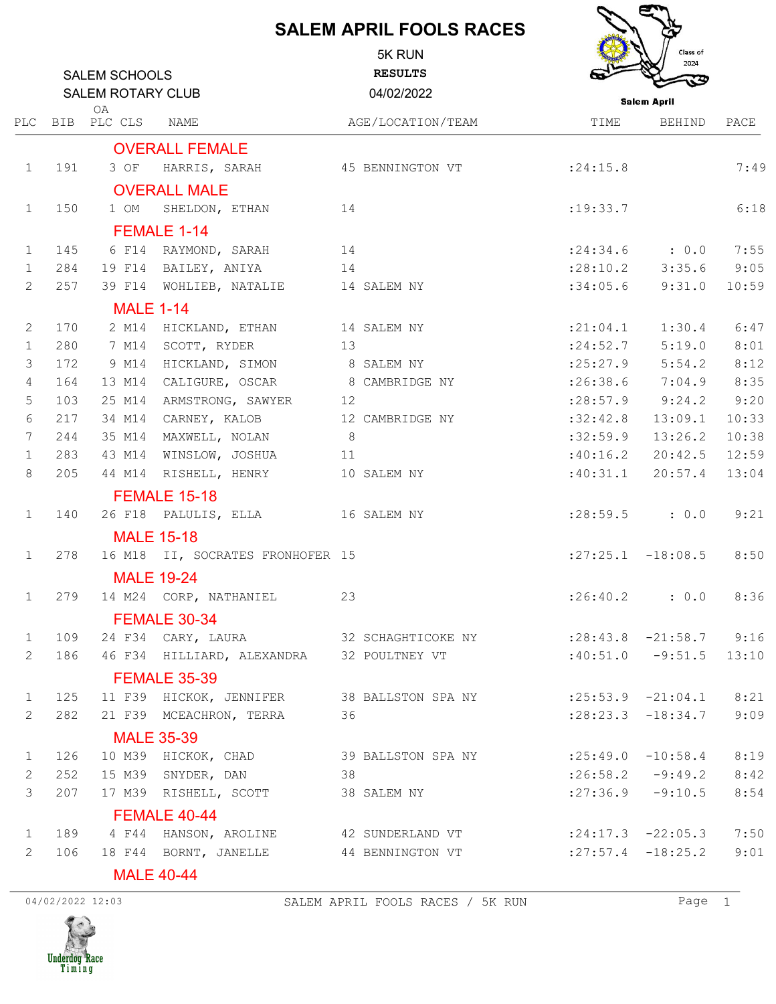## **SALEM APRIL FOOLS RACES**

J

 $\epsilon$ 

|                 | <b>SALEM SCHOOLS</b><br><b>SALEM ROTARY CLUB</b><br>OA |                   |                                                           |    | 5K RUN<br><b>RESULTS</b><br>04/02/2022 | Class of<br>2024<br><b>Salem April</b> |                        |       |
|-----------------|--------------------------------------------------------|-------------------|-----------------------------------------------------------|----|----------------------------------------|----------------------------------------|------------------------|-------|
|                 |                                                        | PLC BIB PLC CLS   | <b>NAME</b>                                               |    | AGE/LOCATION/TEAM                      | TIME                                   | <b>BEHIND</b>          | PACE  |
|                 |                                                        |                   | <b>OVERALL FEMALE</b>                                     |    |                                        |                                        |                        |       |
| $\mathbf{1}$    | 191                                                    | 3 OF              | HARRIS, SARAH                                             |    | 45 BENNINGTON VT                       | : 24:15.8                              |                        | 7:49  |
|                 |                                                        |                   | <b>OVERALL MALE</b>                                       |    |                                        |                                        |                        |       |
| $\mathbf{1}$    | 150                                                    | 1 OM              | SHELDON, ETHAN                                            | 14 |                                        | : 19: 33.7                             |                        | 6:18  |
|                 |                                                        |                   | FEMALE 1-14                                               |    |                                        |                                        |                        |       |
| $\mathbf{1}$    | 145                                                    | 6 F14             | RAYMOND, SARAH                                            | 14 |                                        |                                        | $: 24:34.6$ : 0.0      | 7:55  |
| $\mathbf{1}$    | 284                                                    |                   | 19 F14 BAILEY, ANIYA                                      | 14 |                                        | : 28:10.2                              | 3:35.6                 | 9:05  |
| 2               | 257                                                    |                   | 39 F14 WOHLIEB, NATALIE                                   |    | 14 SALEM NY                            | :34:05.6                               | 9:31.0                 | 10:59 |
|                 |                                                        | <b>MALE 1-14</b>  |                                                           |    |                                        |                                        |                        |       |
| 2               | 170                                                    | 2 M14             | HICKLAND, ETHAN                                           |    | 14 SALEM NY                            | : 21:04.1                              | 1:30.4                 | 6:47  |
| $\mathbf{1}$    | 280                                                    | 7 M14             | SCOTT, RYDER                                              | 13 |                                        | : 24:52.7                              | 5:19.0                 | 8:01  |
| 3               | 172                                                    | 9 M14             | HICKLAND, SIMON                                           |    | 8 SALEM NY                             | : 25: 27.9                             | 5:54.2                 | 8:12  |
| 4               | 164                                                    |                   | 13 M14 CALIGURE, OSCAR                                    |    | 8 CAMBRIDGE NY                         | : 26:38.6                              | 7:04.9                 | 8:35  |
| 5               | 103                                                    | 25 M14            | ARMSTRONG, SAWYER                                         | 12 |                                        | : 28:57.9                              | 9:24.2                 | 9:20  |
| 6               | 217                                                    | 34 M14            | CARNEY, KALOB                                             |    | 12 CAMBRIDGE NY                        | :32:42.8                               | 13:09.1                | 10:33 |
| $7\phantom{.0}$ | 244                                                    | 35 M14            | MAXWELL, NOLAN                                            | 8  |                                        | :32:59.9                               | 13:26.2                | 10:38 |
| $\mathbf 1$     | 283                                                    | 43 M14            | WINSLOW, JOSHUA                                           | 11 |                                        | :40:16.2                               | 20:42.5                | 12:59 |
| 8               | 205                                                    |                   | 44 M14 RISHELL, HENRY                                     |    | 10 SALEM NY                            | :40:31.1                               | 20:57.4                | 13:04 |
|                 |                                                        |                   | <b>FEMALE 15-18</b>                                       |    |                                        |                                        |                        |       |
| $\mathbf{1}$    | 140                                                    |                   | 26 F18 PALULIS, ELLA                                      |    | 16 SALEM NY                            | : 28:59.5                              | : 0.0                  | 9:21  |
|                 |                                                        |                   | <b>MALE 15-18</b>                                         |    |                                        |                                        |                        |       |
| $\mathbf{1}$    | 278                                                    |                   | 16 M18 II, SOCRATES FRONHOFER 15                          |    |                                        |                                        | $:27:25.1$ -18:08.5    | 8:50  |
|                 |                                                        |                   | <b>MALE 19-24</b>                                         |    |                                        |                                        |                        |       |
| $\mathbf{1}$    | 279                                                    |                   | 14 M24 CORP, NATHANIEL                                    | 23 |                                        | : 26: 40.2                             | : 0.0                  | 8:36  |
|                 |                                                        |                   | FEMALE 30-34                                              |    |                                        |                                        |                        |       |
| $\mathbf{1}$    | 109                                                    |                   | 24 F34 CARY, LAURA 32 SCHAGHTICOKE NY :28:43.8 -21:58.7   |    |                                        |                                        |                        | 9:16  |
| 2               | 186                                                    |                   | 46 F34 HILLIARD, ALEXANDRA 32 POULTNEY VT                 |    |                                        |                                        | $:40:51.0$ $-9:51.5$   | 13:10 |
|                 |                                                        |                   | <b>FEMALE 35-39</b>                                       |    |                                        |                                        |                        |       |
| $\mathbf{1}$    | 125                                                    |                   | 11 F39 HICKOK, JENNIFER 38 BALLSTON SPA NY                |    |                                        |                                        | $:25:53.9$ $-21:04.1$  | 8:21  |
| 2               | 282                                                    |                   | 21 F39 MCEACHRON, TERRA                                   | 36 |                                        |                                        | $: 28: 23.3 -18: 34.7$ | 9:09  |
|                 |                                                        | <b>MALE 35-39</b> |                                                           |    |                                        |                                        |                        |       |
| $\mathbf{1}$    | 126                                                    |                   | 10 M39 HICKOK, CHAD 39 BALLSTON SPA NY                    |    |                                        | $: 25:49.0 - 10:58.4$                  |                        | 8:19  |
| 2               | 252                                                    |                   | 15 M39 SNYDER, DAN                                        | 38 |                                        |                                        | $:26:58.2$ $-9:49.2$   | 8:42  |
| $\mathcal{S}$   | 207                                                    |                   | 17 M39 RISHELL, SCOTT                                     |    | 38 SALEM NY                            |                                        | $:27:36.9$ $-9:10.5$   | 8:54  |
|                 |                                                        |                   | FEMALE 40-44                                              |    |                                        |                                        |                        |       |
| $\mathbf{1}$    | 189                                                    |                   | 4 F44 HANSON, AROLINE 42 SUNDERLAND VT                    |    |                                        | $:24:17.3$ $-22:05.3$                  |                        | 7:50  |
| 2               | 106                                                    |                   | 18 F44 BORNT, JANELLE 44 BENNINGTON VT : 27:57.4 -18:25.2 |    |                                        |                                        |                        | 9:01  |
|                 |                                                        |                   | <b>MALE 40-44</b>                                         |    |                                        |                                        |                        |       |
|                 |                                                        |                   |                                                           |    |                                        |                                        |                        |       |

04/02/2022 12:03 SALEM APRIL FOOLS RACES / 5K RUN Page 1

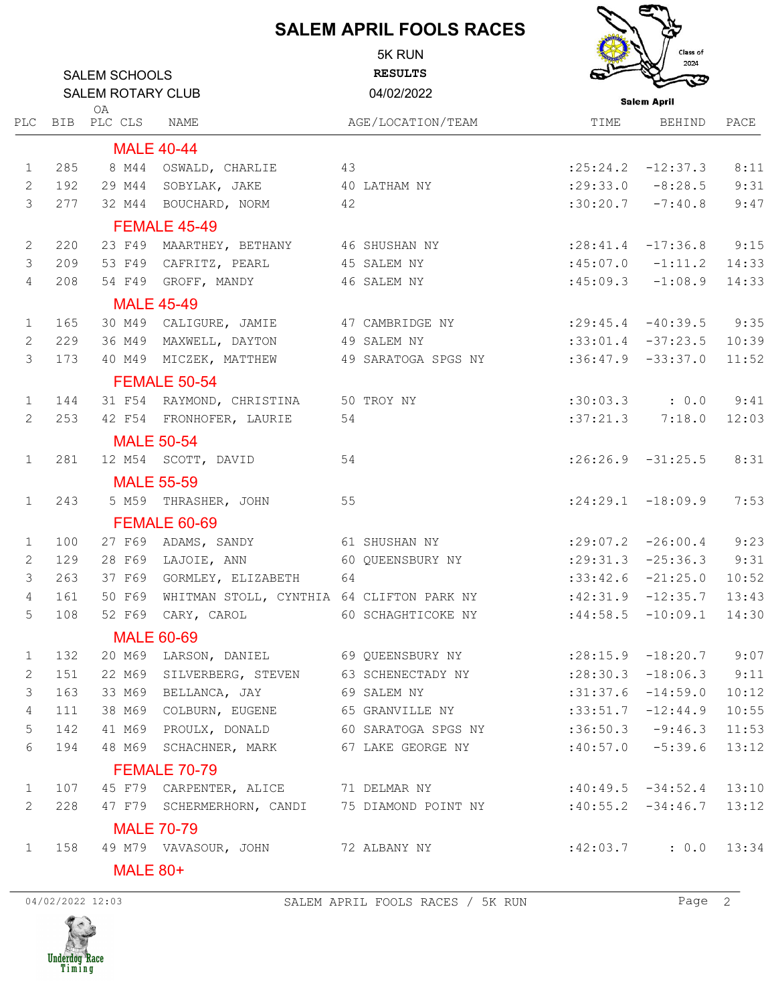## **SALEM APRIL FOOLS RACES**

|                |                          | <b>SALEM SCHOOLS</b> |                                                  | 5K RUN<br><b>RESULTS</b> |                               | Class of<br>2024            |       |  |  |
|----------------|--------------------------|----------------------|--------------------------------------------------|--------------------------|-------------------------------|-----------------------------|-------|--|--|
|                | <b>SALEM ROTARY CLUB</b> |                      |                                                  | 04/02/2022               |                               | <b>Salem April</b>          |       |  |  |
| PLC            |                          | 0A<br>BIB PLC CLS    | NAME                                             | AGE/LOCATION/TEAM        | TIME                          | BEHIND                      | PACE  |  |  |
|                |                          |                      | <b>MALE 40-44</b>                                |                          |                               |                             |       |  |  |
| $\mathbf{1}$   | 285                      |                      | 8 M44 OSWALD, CHARLIE                            | 43                       |                               | $: 25: 24.2$ $-12: 37.3$    | 8:11  |  |  |
| $\mathbf{2}$   | 192                      |                      | 29 M44 SOBYLAK, JAKE 40 LATHAM NY                |                          |                               | $:29:33.0$ $-8:28.5$        | 9:31  |  |  |
| $\mathcal{E}$  | 277                      |                      | 32 M44 BOUCHARD, NORM 42                         |                          |                               | $:30:20.7$ $-7:40.8$        | 9:47  |  |  |
|                |                          |                      | FEMALE 45-49                                     |                          |                               |                             |       |  |  |
| 2              | 220                      |                      | 23 F49 MAARTHEY, BETHANY 46 SHUSHAN NY           |                          | $: 28: 41.4$ $-17: 36.8$ 9:15 |                             |       |  |  |
| 3              | 209                      |                      | 53 F49 CAFRITZ, PEARL                            | 45 SALEM NY              |                               | $:45:07.0$ $-1:11.2$ 14:33  |       |  |  |
| $\overline{4}$ | 208                      |                      | 54 F49 GROFF, MANDY                              | 46 SALEM NY              |                               | $:45:09.3$ $-1:08.9$ 14:33  |       |  |  |
|                |                          | <b>MALE 45-49</b>    |                                                  |                          |                               |                             |       |  |  |
| $\mathbf{1}$   | 165                      |                      | 30 M49 CALIGURE, JAMIE 47 CAMBRIDGE NY           |                          | $: 29:45.4$ $-40:39.5$ 9:35   |                             |       |  |  |
| 2              | 229                      |                      | 36 M49 MAXWELL, DAYTON 49 SALEM NY               |                          | $:33:01.4$ $-37:23.5$ 10:39   |                             |       |  |  |
| 3              | 173                      |                      | 40 M49 MICZEK, MATTHEW                           | 49 SARATOGA SPGS NY      |                               | $:36:47.9$ $-33:37.0$ 11:52 |       |  |  |
|                |                          |                      | FEMALE 50-54                                     |                          |                               |                             |       |  |  |
| $\mathbf{1}$   | 144                      |                      | 31 F54 RAYMOND, CHRISTINA 50 TROY NY             |                          |                               | $:30:03.3$ $:0.0$ $9:41$    |       |  |  |
| 2              | 253                      |                      | 42 F54 FRONHOFER, LAURIE                         | 54                       |                               | $:37:21.3$ $7:18.0$         | 12:03 |  |  |
|                |                          |                      | <b>MALE 50-54</b>                                |                          |                               |                             |       |  |  |
| $\mathbf{1}$   | 281                      |                      | 12 M54 SCOTT, DAVID                              | 54                       |                               | $:26:26.9$ $-31:25.5$       | 8:31  |  |  |
|                |                          |                      | <b>MALE 55-59</b>                                |                          |                               |                             |       |  |  |
| $\mathbf{1}$   | 243                      |                      | 5 M59 THRASHER, JOHN                             | 55                       |                               | $:24:29.1$ $-18:09.9$       | 7:53  |  |  |
|                |                          |                      | <b>FEMALE 60-69</b>                              |                          |                               |                             |       |  |  |
| $\mathbf{1}$   | 100                      |                      | 27 F69 ADAMS, SANDY                              | 61 SHUSHAN NY            |                               | $:29:07.2$ $-26:00.4$       | 9:23  |  |  |
| 2              | 129                      |                      | 28 F69 LAJOIE, ANN 60 QUEENSBURY NY              |                          | $: 29:31.3 -25:36.3$ 9:31     |                             |       |  |  |
| 3              | 263                      |                      | 37 F69 GORMLEY, ELIZABETH<br>64                  |                          |                               | $:33:42.6$ $-21:25.0$       | 10:52 |  |  |
| $\overline{4}$ | 161                      |                      | 50 F69 WHITMAN STOLL, CYNTHIA 64 CLIFTON PARK NY |                          |                               | $:42:31.9$ -12:35.7         | 13:43 |  |  |
| 5              | 108                      |                      | 52 F69 CARY, CAROL                               | 60 SCHAGHTICOKE NY       |                               | $:44:58.5$ -10:09.1         | 14:30 |  |  |
|                |                          |                      | <b>MALE 60-69</b>                                |                          |                               |                             |       |  |  |
| $\mathbf{1}$   | 132                      |                      | 20 M69 LARSON, DANIEL 69 QUEENSBURY NY           |                          | : 28:15.9                     | $-18:20.7$                  | 9:07  |  |  |
| 2              | 151                      | 22 M69               | SILVERBERG, STEVEN 63 SCHENECTADY NY             |                          | : 28:30.3                     | $-18:06.3$                  | 9:11  |  |  |
| 3              | 163                      | 33 M69               | BELLANCA, JAY                                    | 69 SALEM NY              | :31:37.6                      | $-14:59.0$                  | 10:12 |  |  |
| 4              | 111                      | 38 M69               | COLBURN, EUGENE                                  | 65 GRANVILLE NY          | :33:51.7                      | $-12:44.9$                  | 10:55 |  |  |
| 5              | 142                      | 41 M69               | PROULX, DONALD                                   | 60 SARATOGA SPGS NY      |                               | $:36:50.3$ $-9:46.3$        | 11:53 |  |  |
| 6              | 194                      |                      | 48 M69 SCHACHNER, MARK                           | 67 LAKE GEORGE NY        |                               | $:40:57.0$ -5:39.6          | 13:12 |  |  |

FEMALE 70-79

1 107 45 F79 CARPENTER, ALICE 71 DELMAR NY :40:49.5 -34:52.4 13:10 2 228 47 F79 SCHERMERHORN, CANDI 75 DIAMOND POINT NY :40:55.2 -34:46.7 13:12 MALE 70-79 1 158 49 M79 VAVASOUR, JOHN 72 ALBANY NY :42:03.7 : 0.0 13:34

MALE 80+

04/02/2022 12:03 SALEM APRIL FOOLS RACES / 5K RUN Page 2